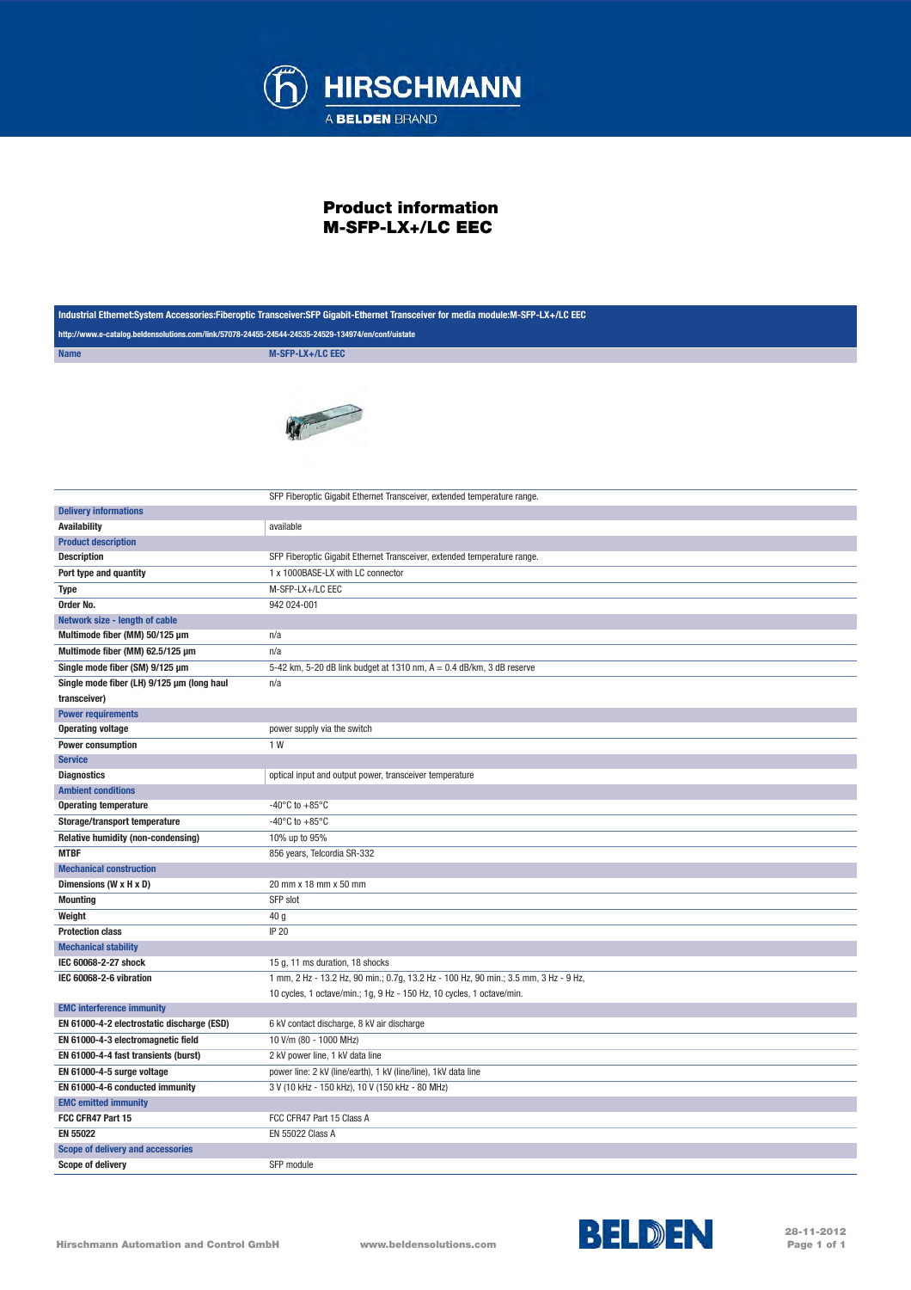

## Product information M-SFP-LX+/LC EEC

| Industrial Ethernet:System Accessories:Fiberoptic Transceiver:SFP Gigabit-Ethernet Transceiver for media module:M-SFP-LX+/LC EEC |                                                                                      |
|----------------------------------------------------------------------------------------------------------------------------------|--------------------------------------------------------------------------------------|
| http://www.e-catalog.beldensolutions.com/link/57078-24455-24544-24535-24529-134974/en/conf/uistate                               |                                                                                      |
| <b>Name</b>                                                                                                                      | M-SFP-LX+/LC EEC                                                                     |
|                                                                                                                                  |                                                                                      |
|                                                                                                                                  | SFP Fiberoptic Gigabit Ethernet Transceiver, extended temperature range.             |
| <b>Delivery informations</b>                                                                                                     |                                                                                      |
| <b>Availability</b>                                                                                                              | available                                                                            |
| <b>Product description</b>                                                                                                       |                                                                                      |
| <b>Description</b>                                                                                                               | SFP Fiberoptic Gigabit Ethernet Transceiver, extended temperature range.             |
| Port type and quantity                                                                                                           | 1 x 1000BASE-LX with LC connector                                                    |
| <b>Type</b>                                                                                                                      | M-SFP-LX+/LC EEC                                                                     |
| Order No.                                                                                                                        | 942 024-001                                                                          |
| Network size - length of cable                                                                                                   |                                                                                      |
| Multimode fiber (MM) 50/125 µm                                                                                                   | n/a                                                                                  |
| Multimode fiber (MM) 62.5/125 µm                                                                                                 | n/a                                                                                  |
| Single mode fiber (SM) 9/125 µm                                                                                                  | 5-42 km, 5-20 dB link budget at 1310 nm, A = 0.4 dB/km, 3 dB reserve                 |
| Single mode fiber (LH) 9/125 µm (long haul                                                                                       | n/a                                                                                  |
| transceiver)                                                                                                                     |                                                                                      |
| <b>Power requirements</b>                                                                                                        |                                                                                      |
| <b>Operating voltage</b>                                                                                                         | power supply via the switch                                                          |
| <b>Power consumption</b>                                                                                                         | 1 W                                                                                  |
| <b>Service</b>                                                                                                                   |                                                                                      |
| <b>Diagnostics</b>                                                                                                               | optical input and output power, transceiver temperature                              |
| <b>Ambient conditions</b>                                                                                                        |                                                                                      |
| <b>Operating temperature</b>                                                                                                     | -40 $\mathrm{^{\circ}C}$ to +85 $\mathrm{^{\circ}C}$                                 |
| Storage/transport temperature                                                                                                    | -40 $\mathrm{^{\circ}C}$ to +85 $\mathrm{^{\circ}C}$                                 |
| Relative humidity (non-condensing)                                                                                               | 10% up to 95%                                                                        |
| <b>MTBF</b>                                                                                                                      | 856 years, Telcordia SR-332                                                          |
| <b>Mechanical construction</b>                                                                                                   |                                                                                      |
| Dimensions (W x H x D)                                                                                                           | 20 mm x 18 mm x 50 mm                                                                |
| <b>Mounting</b>                                                                                                                  | SFP slot                                                                             |
| Weight                                                                                                                           | 40 g                                                                                 |
| <b>Protection class</b>                                                                                                          | <b>IP 20</b>                                                                         |
| <b>Mechanical stability</b>                                                                                                      |                                                                                      |
| IEC 60068-2-27 shock                                                                                                             | 15 g, 11 ms duration, 18 shocks                                                      |
| IEC 60068-2-6 vibration                                                                                                          | 1 mm, 2 Hz - 13.2 Hz, 90 min.; 0.7g, 13.2 Hz - 100 Hz, 90 min.; 3.5 mm, 3 Hz - 9 Hz, |
|                                                                                                                                  | 10 cycles, 1 octave/min.; 1g, 9 Hz - 150 Hz, 10 cycles, 1 octave/min.                |
| <b>EMC interference immunity</b>                                                                                                 |                                                                                      |
| EN 61000-4-2 electrostatic discharge (ESD)                                                                                       | 6 kV contact discharge, 8 kV air discharge                                           |
| EN 61000-4-3 electromagnetic field                                                                                               | 10 V/m (80 - 1000 MHz)                                                               |
| EN 61000-4-4 fast transients (burst)                                                                                             | 2 kV power line, 1 kV data line                                                      |
| EN 61000-4-5 surge voltage                                                                                                       | power line: 2 kV (line/earth), 1 kV (line/line), 1 kV data line                      |
| EN 61000-4-6 conducted immunity                                                                                                  | 3 V (10 kHz - 150 kHz), 10 V (150 kHz - 80 MHz)                                      |
| <b>EMC emitted immunity</b>                                                                                                      |                                                                                      |
| FCC CFR47 Part 15                                                                                                                | FCC CFR47 Part 15 Class A                                                            |
| <b>EN 55022</b>                                                                                                                  | <b>EN 55022 Class A</b>                                                              |
| Scope of delivery and accessories                                                                                                |                                                                                      |
| Scope of delivery                                                                                                                | SFP module                                                                           |